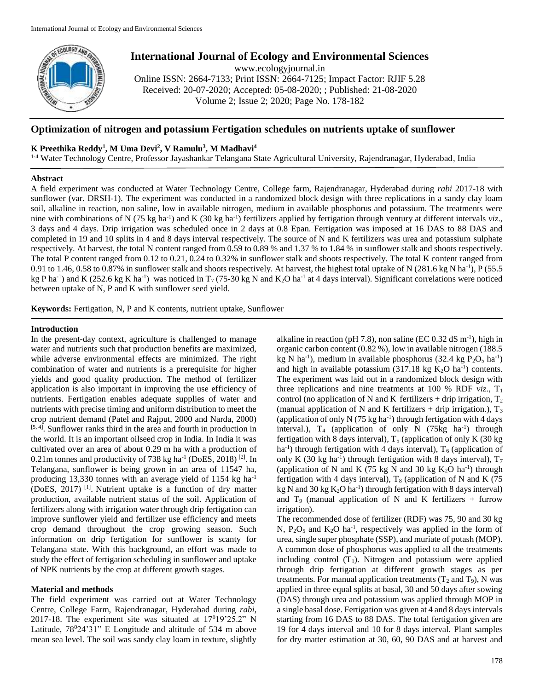

# **International Journal of Ecology and Environmental Sciences**

www.ecologyjournal.in

Online ISSN: 2664-7133; Print ISSN: 2664-7125; Impact Factor: RJIF 5.28 Received: 20-07-2020; Accepted: 05-08-2020; ; Published: 21-08-2020 Volume 2; Issue 2; 2020; Page No. 178-182

# **Optimization of nitrogen and potassium Fertigation schedules on nutrients uptake of sunflower**

## **K Preethika Reddy<sup>1</sup> , M Uma Devi<sup>2</sup> , V Ramulu<sup>3</sup> , M Madhavi<sup>4</sup>**

1-4 Water Technology Centre, Professor Jayashankar Telangana State Agricultural University, Rajendranagar, Hyderabad, India

#### **Abstract**

A field experiment was conducted at Water Technology Centre, College farm, Rajendranagar, Hyderabad during *rabi* 2017-18 with sunflower (var. DRSH-1). The experiment was conducted in a randomized block design with three replications in a sandy clay loam soil, alkaline in reaction, non saline, low in available nitrogen, medium in available phosphorus and potassium. The treatments were nine with combinations of N (75 kg ha<sup>-1</sup>) and K (30 kg ha<sup>-1</sup>) fertilizers applied by fertigation through ventury at different intervals *viz*., 3 days and 4 days. Drip irrigation was scheduled once in 2 days at 0.8 Epan. Fertigation was imposed at 16 DAS to 88 DAS and completed in 19 and 10 splits in 4 and 8 days interval respectively. The source of N and K fertilizers was urea and potassium sulphate respectively. At harvest, the total N content ranged from 0.59 to 0.89 % and 1.37 % to 1.84 % in sunflower stalk and shoots respectively. The total P content ranged from 0.12 to 0.21, 0.24 to 0.32% in sunflower stalk and shoots respectively. The total K content ranged from 0.91 to 1.46, 0.58 to 0.87% in sunflower stalk and shoots respectively. At harvest, the highest total uptake of N  $(281.6 \text{ kg N} \text{ ha}^{-1})$ , P  $(55.5 \text{ m} \text{A})$ kg P ha<sup>-1</sup>) and K (252.6 kg K ha<sup>-1</sup>) was noticed in T<sub>7</sub> (75-30 kg N and K<sub>2</sub>O ha<sup>-1</sup> at 4 days interval). Significant correlations were noticed between uptake of N, P and K with sunflower seed yield.

**Keywords:** Fertigation, N, P and K contents, nutrient uptake, Sunflower

#### **Introduction**

In the present-day context, agriculture is challenged to manage water and nutrients such that production benefits are maximized, while adverse environmental effects are minimized. The right combination of water and nutrients is a prerequisite for higher yields and good quality production. The method of fertilizer application is also important in improving the use efficiency of nutrients. Fertigation enables adequate supplies of water and nutrients with precise timing and uniform distribution to meet the crop nutrient demand (Patel and Rajput, 2000 and Narda, 2000) [5, 4]. Sunflower ranks third in the area and fourth in production in the world. It is an important oilseed crop in India. In India it was cultivated over an area of about 0.29 m ha with a production of  $0.21$ m tonnes and productivity of 738 kg ha<sup>-1</sup> (DoES, 2018)<sup>[2]</sup>. In Telangana, sunflower is being grown in an area of 11547 ha, producing 13,330 tonnes with an average yield of 1154 kg ha-1 (DoES, 2017)<sup>[1]</sup>. Nutrient uptake is a function of dry matter production, available nutrient status of the soil. Application of fertilizers along with irrigation water through drip fertigation can improve sunflower yield and fertilizer use efficiency and meets crop demand throughout the crop growing season. Such information on drip fertigation for sunflower is scanty for Telangana state. With this background, an effort was made to study the effect of fertigation scheduling in sunflower and uptake of NPK nutrients by the crop at different growth stages.

## **Material and methods**

The field experiment was carried out at Water Technology Centre, College Farm, Rajendranagar, Hyderabad during *rabi*, 2017-18. The experiment site was situated at  $17^019'25.2''$  N Latitude,  $78^024'31''$  E Longitude and altitude of 534 m above mean sea level. The soil was sandy clay loam in texture, slightly

alkaline in reaction (pH 7.8), non saline (EC  $0.32$  dS m<sup>-1</sup>), high in organic carbon content (0.82 %), low in available nitrogen (188.5 kg N ha<sup>-1</sup>), medium in available phosphorus  $(32.4 \text{ kg } P_2O_5 \text{ ha}^{-1})$ and high in available potassium  $(317.18 \text{ kg K}_2O \text{ ha}^{-1})$  contents. The experiment was laid out in a randomized block design with three replications and nine treatments at 100 % RDF  $viz.$ ,  $T_1$ control (no application of N and K fertilizers + drip irrigation,  $T_2$ ) (manual application of N and K fertilizers  $+$  drip irrigation.),  $T_3$ (application of only N  $(75 \text{ kg ha}^{-1})$  through fertigation with 4 days interval.),  $T_4$  (application of only N (75kg ha<sup>-1</sup>) through fertigation with 8 days interval),  $T_5$  (application of only K (30 kg) ha<sup>-1</sup>) through fertigation with 4 days interval),  $T_6$  (application of only K (30 kg ha<sup>-1</sup>) through fertigation with 8 days interval),  $T_7$ (application of N and K  $(75 \text{ kg N}$  and 30 kg K<sub>2</sub>O ha<sup>-1</sup>) through fertigation with 4 days interval),  $T_8$  (application of N and K (75) kg N and 30 kg  $K_2O$  ha<sup>-1</sup>) through fertigation with 8 days interval) and  $T_9$  (manual application of N and K fertilizers + furrow irrigation).

The recommended dose of fertilizer (RDF) was 75, 90 and 30 kg N,  $P_2O_5$  and  $K_2O$  ha<sup>-1</sup>, respectively was applied in the form of urea, single super phosphate (SSP), and muriate of potash (MOP). A common dose of phosphorus was applied to all the treatments including control  $(T_1)$ . Nitrogen and potassium were applied through drip fertigation at different growth stages as per treatments. For manual application treatments  $(T_2 \text{ and } T_9)$ , N was applied in three equal splits at basal, 30 and 50 days after sowing (DAS) through urea and potassium was applied through MOP in a single basal dose. Fertigation was given at 4 and 8 days intervals starting from 16 DAS to 88 DAS. The total fertigation given are 19 for 4 days interval and 10 for 8 days interval. Plant samples for dry matter estimation at 30, 60, 90 DAS and at harvest and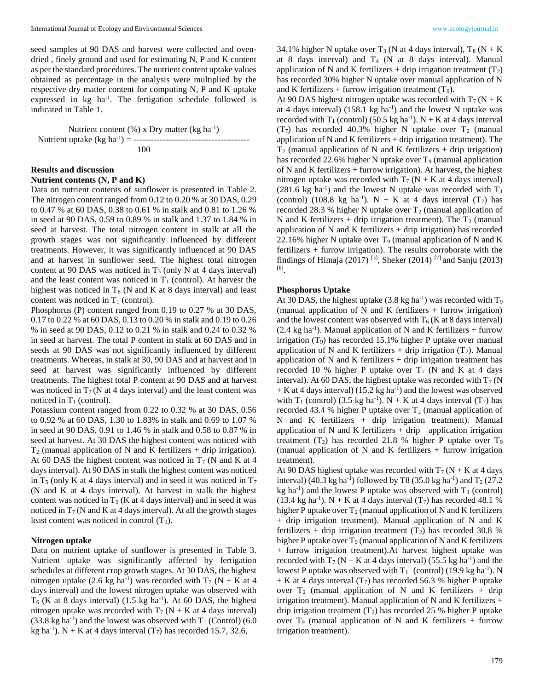seed samples at 90 DAS and harvest were collected and ovendried , finely ground and used for estimating N, P and K content as per the standard procedures. The nutrient content uptake values obtained as percentage in the analysis were multiplied by the respective dry matter content for computing N, P and K uptake expressed in  $kg$  ha<sup>-1</sup>. The fertigation schedule followed is indicated in Table 1.

Nutrient content  $(\%)$  x Dry matter (kg ha<sup>-1</sup>) Nutrient uptake (kg ha-1 ) = ---------------------------------------- 100

# **Results and discussion**

#### **Nutrient contents (N, P and K)**

Data on nutrient contents of sunflower is presented in Table 2. The nitrogen content ranged from 0.12 to 0.20 % at 30 DAS, 0.29 to 0.47 % at 60 DAS, 0.38 to 0.61 % in stalk and 0.81 to 1.26 % in seed at 90 DAS, 0.59 to 0.89 % in stalk and 1.37 to 1.84 % in seed at harvest. The total nitrogen content in stalk at all the growth stages was not significantly influenced by different treatments. However, it was significantly influenced at 90 DAS and at harvest in sunflower seed. The highest total nitrogen content at 90 DAS was noticed in  $T_3$  (only N at 4 days interval) and the least content was noticed in  $T_1$  (control). At harvest the highest was noticed in  $T_8$  (N and K at 8 days interval) and least content was noticed in  $T_1$  (control).

Phosphorus (P) content ranged from 0.19 to 0.27 % at 30 DAS, 0.17 to 0.22 % at 60 DAS, 0.13 to 0.20 % in stalk and 0.19 to 0.26 % in seed at 90 DAS, 0.12 to 0.21 % in stalk and 0.24 to 0.32 % in seed at harvest. The total P content in stalk at 60 DAS and in seeds at 90 DAS was not significantly influenced by different treatments. Whereas, in stalk at 30, 90 DAS and at harvest and in seed at harvest was significantly influenced by different treatments. The highest total P content at 90 DAS and at harvest was noticed in  $T_7$  (N at 4 days interval) and the least content was noticed in  $T_1$  (control).

Potassium content ranged from 0.22 to 0.32 % at 30 DAS, 0.56 to 0.92 % at 60 DAS, 1.30 to 1.83% in stalk and 0.69 to 1.07 % in seed at 90 DAS, 0.91 to 1.46 % in stalk and 0.58 to 0.87 % in seed at harvest. At 30 DAS the highest content was noticed with  $T_2$  (manual application of N and K fertilizers + drip irrigation). At 60 DAS the highest content was noticed in  $T_7$  (N and K at 4 days interval). At 90 DAS in stalk the highest content was noticed in  $T_5$  (only K at 4 days interval) and in seed it was noticed in  $T_7$ (N and K at 4 days interval). At harvest in stalk the highest content was noticed in  $T_5$  (K at 4 days interval) and in seed it was noticed in  $T_7$  (N and K at 4 days interval). At all the growth stages least content was noticed in control  $(T_1)$ .

#### **Nitrogen uptake**

Data on nutrient uptake of sunflower is presented in Table 3. Nutrient uptake was significantly affected by fertigation schedules at different crop growth stages. At 30 DAS, the highest nitrogen uptake  $(2.6 \text{ kg ha}^{-1})$  was recorded with  $T_7$  (N + K at 4 days interval) and the lowest nitrogen uptake was observed with  $T<sub>6</sub>$  (K at 8 days interval) (1.5 kg ha<sup>-1</sup>). At 60 DAS, the highest nitrogen uptake was recorded with  $T_7$  (N + K at 4 days interval)  $(33.8 \text{ kg ha}^{-1})$  and the lowest was observed with T<sub>1</sub> (Control) (6.0 kg ha<sup>-1</sup>). N + K at 4 days interval  $(T_7)$  has recorded 15.7, 32.6,

34.1% higher N uptake over  $T_3$  (N at 4 days interval),  $T_8$  (N + K at 8 days interval) and  $T_4$  (N at 8 days interval). Manual application of N and K fertilizers + drip irrigation treatment  $(T_2)$ has recorded 30% higher N uptake over manual application of N and K fertilizers + furrow irrigation treatment  $(T_9)$ .

At 90 DAS highest nitrogen uptake was recorded with  $T_7$  (N + K) at 4 days interval)  $(158.1 \text{ kg ha}^{-1})$  and the lowest N uptake was recorded with  $T_1$  (control) (50.5 kg ha<sup>-1</sup>).  $N + K$  at 4 days interval (T<sub>7</sub>) has recorded 40.3% higher N uptake over  $T_2$  (manual application of N and K fertilizers  $+$  drip irrigation treatment). The  $T_2$  (manual application of N and K fertilizers + drip irrigation) has recorded 22.6% higher N uptake over  $T_9$  (manual application of N and K fertilizers + furrow irrigation). At harvest, the highest nitrogen uptake was recorded with  $T_7$  (N + K at 4 days interval) (281.6 kg ha<sup>-1</sup>) and the lowest N uptake was recorded with  $T_1$ (control) (108.8 kg ha<sup>-1</sup>). N + K at 4 days interval ( $T_7$ ) has recorded 28.3 % higher N uptake over  $T_2$  (manual application of N and K fertilizers + drip irrigation treatment). The  $T_2$  (manual application of N and K fertilizers + drip irrigation) has recorded 22.16% higher N uptake over  $T_9$  (manual application of N and K fertilizers + furrow irrigation). The results corroborate with the findings of Himaja (2017) <sup>[3]</sup>, Sheker (2014) <sup>[7]</sup> and Sanju (2013) [6] .

### **Phosphorus Uptake**

At 30 DAS, the highest uptake  $(3.8 \text{ kg ha}^{-1})$  was recorded with T<sub>9</sub> (manual application of N and K fertilizers  $+$  furrow irrigation) and the lowest content was observed with  $T_6$  (K at 8 days interval)  $(2.4 \text{ kg ha}^{-1})$ . Manual application of N and K fertilizers + furrow irrigation  $(T_9)$  has recorded 15.1% higher P uptake over manual application of N and K fertilizers  $+$  drip irrigation (T<sub>2</sub>). Manual application of  $N$  and  $K$  fertilizers  $+$  drip irrigation treatment has recorded 10 % higher P uptake over  $T_7$  (N and K at 4 days interval). At 60 DAS, the highest uptake was recorded with  $T_7$  (N  $+$  K at 4 days interval) (15.2 kg ha<sup>-1</sup>) and the lowest was observed with  $T_1$  (control) (3.5 kg ha<sup>-1</sup>). N + K at 4 days interval (T<sub>7</sub>) has recorded 43.4 % higher P uptake over  $T_2$  (manual application of N and K fertilizers + drip irrigation treatment). Manual application of N and K fertilizers  $+$  drip application irrigation treatment  $(T_2)$  has recorded 21.8 % higher P uptake over  $T_9$ (manual application of N and K fertilizers  $+$  furrow irrigation treatment).

At 90 DAS highest uptake was recorded with  $T_7$  (N + K at 4 days interval) (40.3 kg ha<sup>-1</sup>) followed by T8 (35.0 kg ha<sup>-1</sup>) and T<sub>2</sub> (27.2) kg ha<sup>-1</sup>) and the lowest P uptake was observed with  $T_1$  (control) (13.4 kg ha<sup>-1</sup>). N + K at 4 days interval  $(T_7)$  has recorded 48.1 % higher P uptake over  $T_2$  (manual application of N and K fertilizers + drip irrigation treatment). Manual application of N and K fertilizers + drip irrigation treatment  $(T_2)$  has recorded 30.8 % higher P uptake over  $T_9$  (manual application of N and K fertilizers + furrow irrigation treatment).At harvest highest uptake was recorded with  $T_7$  (N + K at 4 days interval) (55.5 kg ha<sup>-1</sup>) and the lowest P uptake was observed with  $T_1$  (control) (19.9 kg ha<sup>-1</sup>). N  $+$  K at 4 days interval (T<sub>7</sub>) has recorded 56.3 % higher P uptake over  $T_2$  (manual application of N and K fertilizers + drip irrigation treatment). Manual application of N and K fertilizers  $+$ drip irrigation treatment  $(T_2)$  has recorded 25 % higher P uptake over  $T_9$  (manual application of N and K fertilizers + furrow irrigation treatment).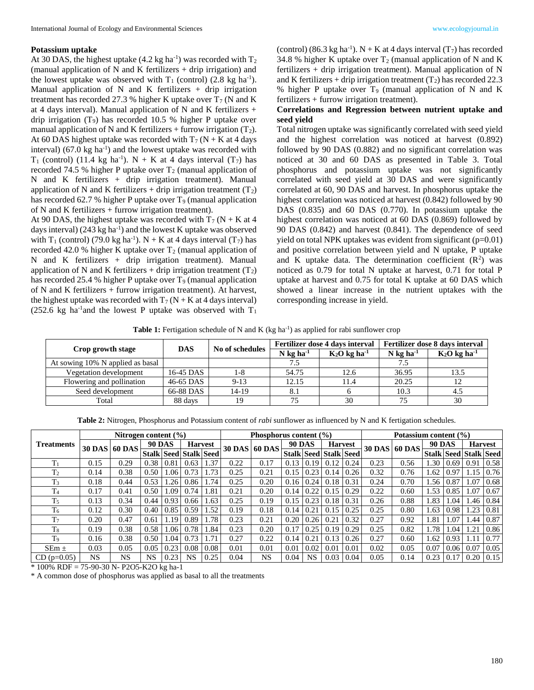#### **Potassium uptake**

At 30 DAS, the highest uptake  $(4.2 \text{ kg ha}^{-1})$  was recorded with  $T_2$ (manual application of N and K fertilizers  $+$  drip irrigation) and the lowest uptake was observed with  $T_1$  (control) (2.8 kg ha<sup>-1</sup>). Manual application of N and K fertilizers  $+$  drip irrigation treatment has recorded 27.3 % higher K uptake over  $T_7$  (N and K at 4 days interval). Manual application of N and K fertilizers + drip irrigation  $(T_9)$  has recorded 10.5 % higher P uptake over manual application of N and K fertilizers + furrow irrigation  $(T_2)$ . At 60 DAS highest uptake was recorded with  $T_7$  (N + K at 4 days interval)  $(67.0 \text{ kg ha}^{-1})$  and the lowest uptake was recorded with  $T_1$  (control) (11.4 kg ha<sup>-1</sup>). N + K at 4 days interval ( $T_7$ ) has recorded 74.5 % higher P uptake over  $T_2$  (manual application of N and K fertilizers + drip irrigation treatment). Manual application of N and K fertilizers + drip irrigation treatment  $(T_2)$ has recorded 62.7 % higher P uptake over  $T_9$  (manual application of N and K fertilizers + furrow irrigation treatment).

At 90 DAS, the highest uptake was recorded with  $T_7$  (N + K at 4 days interval)  $(243 \text{ kg ha}^{-1})$  and the lowest K uptake was observed with  $T_1$  (control) (79.0 kg ha<sup>-1</sup>). N + K at 4 days interval (T<sub>7</sub>) has recorded 42.0 % higher K uptake over  $T_2$  (manual application of N and K fertilizers + drip irrigation treatment). Manual application of N and K fertilizers + drip irrigation treatment  $(T_2)$ has recorded 25.4 % higher P uptake over  $T_9$  (manual application of N and K fertilizers + furrow irrigation treatment). At harvest, the highest uptake was recorded with  $T_7$  (N + K at 4 days interval) (252.6 kg ha<sup>-1</sup> and the lowest P uptake was observed with  $T_1$ 

(control) (86.3 kg ha<sup>-1</sup>).  $N + K$  at 4 days interval (T<sub>7</sub>) has recorded 34.8 % higher K uptake over  $T_2$  (manual application of N and K fertilizers + drip irrigation treatment). Manual application of N and K fertilizers + drip irrigation treatment  $(T_2)$  has recorded 22.3 % higher P uptake over  $T_9$  (manual application of N and K fertilizers + furrow irrigation treatment).

# **Correlations and Regression between nutrient uptake and seed yield**

Total nitrogen uptake was significantly correlated with seed yield and the highest correlation was noticed at harvest (0.892) followed by 90 DAS (0.882) and no significant correlation was noticed at 30 and 60 DAS as presented in Table 3. Total phosphorus and potassium uptake was not significantly correlated with seed yield at 30 DAS and were significantly correlated at 60, 90 DAS and harvest. In phosphorus uptake the highest correlation was noticed at harvest (0.842) followed by 90 DAS (0.835) and 60 DAS (0.770). In potassium uptake the highest correlation was noticed at 60 DAS (0.869) followed by 90 DAS (0.842) and harvest (0.841). The dependence of seed yield on total NPK uptakes was evident from significant (p=0.01) and positive correlation between yield and N uptake, P uptake and K uptake data. The determination coefficient  $(R^2)$  was noticed as 0.79 for total N uptake at harvest, 0.71 for total P uptake at harvest and 0.75 for total K uptake at 60 DAS which showed a linear increase in the nutrient uptakes with the corresponding increase in yield.

Table 1: Fertigation schedule of N and K (kg ha<sup>-1</sup>) as applied for rabi sunflower crop

|                                  | <b>DAS</b> | No of schedules |                         | Fertilizer dose 4 days interval | Fertilizer dose 8 days interval |                            |  |
|----------------------------------|------------|-----------------|-------------------------|---------------------------------|---------------------------------|----------------------------|--|
| Crop growth stage                |            |                 | $N$ kg ha <sup>-1</sup> | $K_2O$ kg ha <sup>-1</sup>      | $N$ kg ha <sup>-1</sup>         | $K_2O$ kg ha <sup>-1</sup> |  |
| At sowing 10% N applied as basal |            |                 | 7.5                     |                                 | 7.5                             |                            |  |
| Vegetation development           | 16-45 DAS  | 1-8             | 54.75                   | 12.6                            | 36.95                           | 13.5                       |  |
| Flowering and pollination        | 46-65 DAS  | $9-13$          | 12.15                   | 11.4                            | 20.25                           | 12                         |  |
| Seed development                 | 66-88 DAS  | 14-19           |                         |                                 | 10.3                            | 4.5                        |  |
| Total                            | 88 days    | 19              | 75                      | 30                              | 75                              | 30                         |  |

**Table 2:** Nitrogen, Phosphorus and Potassium content of *rabi* sunflower as influenced by N and K fertigation schedules.

|                   | Nitrogen content $(\% )$ |      |               |             |                   |      | Phosphorus content $(\% )$ | Potassium content (%) |               |           |                       |      |               |               |                              |      |                |             |
|-------------------|--------------------------|------|---------------|-------------|-------------------|------|----------------------------|-----------------------|---------------|-----------|-----------------------|------|---------------|---------------|------------------------------|------|----------------|-------------|
| <b>Treatments</b> | <b>30 DAS 60 DAS</b>     |      | <b>90 DAS</b> |             | <b>Harvest</b>    |      | <b>30 DAS</b>              | <b>60 DAS</b>         | <b>90 DAS</b> |           | <b>Harvest</b>        |      | <b>30 DAS</b> | <b>60 DAS</b> | <b>90 DAS</b>                |      | <b>Harvest</b> |             |
|                   |                          |      | <b>Stalk</b>  | <b>Seed</b> | <b>Stalk Seed</b> |      |                            |                       |               |           | Stalk Seed Stalk Seed |      |               |               | <b>Stalk Seed Stalk Seed</b> |      |                |             |
| $T_1$             | 0.15                     | 0.29 | 0.38          | 0.81        | 0.63              | .37  | 0.22                       | 0.17                  | 0.13          | 0.19      | 0.12                  | 0.24 | 0.23          | 0.56          | 1.30                         | 0.69 | 0.91           | 0.58        |
| T <sub>2</sub>    | 0.14                     | 0.38 | 0.50          | .06         | 0.73              | .73  | 0.25                       | 0.21                  | 0.15          | 0.23      | 0.14                  | 0.26 | 0.32          | 0.76          | 1.62                         | 0.97 | 1.15           | 0.76        |
| $T_3$             | 0.18                     | 0.44 | 0.53          | .26         | 0.86              | 1.74 | 0.25                       | 0.20                  | 0.16          | 0.24      | 0.18                  | 0.31 | 0.24          | 0.70          | 1.56                         | 0.87 | 1.07           | 0.68        |
| T <sub>4</sub>    | 0.17                     | 0.41 | 0.50          | 1.09        | 0.74              | 1.81 | 0.21                       | 0.20                  | 0.14          | 0.22      | 0.15                  | 0.29 | 0.22          | 0.60          | 1.53                         | 0.85 | 1.07           | 0.67        |
| T <sub>5</sub>    | 0.13                     | 0.34 | 0.44          | 0.93        | 0.66              | 1.63 | 0.25                       | 0.19                  | 0.15          | 0.23      | 0.18                  | 0.31 | 0.26          | 0.88          | 1.83                         | l.04 |                | 1.46   0.84 |
| T <sub>6</sub>    | 0.12                     | 0.30 | 0.40          | 0.85        | 0.59              | 1.52 | 0.19                       | 0.18                  | 0.14          | 0.21      | 0.15                  | 0.25 | 0.25          | 0.80          | 1.63                         | 0.98 | 1.23           | 0.81        |
| T <sub>7</sub>    | 0.20                     | 0.47 | 0.61          | .19         | 0.89              | 1.78 | 0.23                       | 0.21                  | 0.20          | 0.26      | 0.21                  | 0.32 | 0.27          | 0.92          | 1.81                         | .07  | .44            | 0.87        |
| T8                | 0.19                     | 0.38 | 0.58          | 1.06        | 0.78              | l.84 | 0.23                       | 0.20                  | 0.17          | 0.25      | 0.19                  | 0.29 | 0.25          | 0.82          | 1.78                         | 1.04 | 1.21           | 0.86        |
| T <sub>9</sub>    | 0.16                     | 0.38 | 0.50          | 1.04        | 0.73              | 1.71 | 0.27                       | 0.22                  | 0.14          | 0.21      | 0.13                  | 0.26 | 0.27          | 0.60          | 1.62                         | 0.93 | 1.11           | 0.77        |
| $SEm \pm$         | 0.03                     | 0.05 | 0.05          | 0.23        | 0.08              | 0.08 | 0.01                       | 0.01                  | 0.01          | 0.02      | 0.01                  | 0.01 | 0.02          | 0.05          | 0.07                         | 0.06 | 0.07           | 0.05        |
| $CD$ (p=0.05)     | NS                       | NS   | <b>NS</b>     | 0.23        | NS                | 0.25 | 0.04                       | NS                    | 0.04          | <b>NS</b> | 0.03                  | 0.04 | 0.05          | 0.14          | 0.23                         | 0.17 | 0.20           | 0.15        |

\* 100% RDF = 75-90-30 N- P2O5-K2O kg ha-1

\* A common dose of phosphorus was applied as basal to all the treatments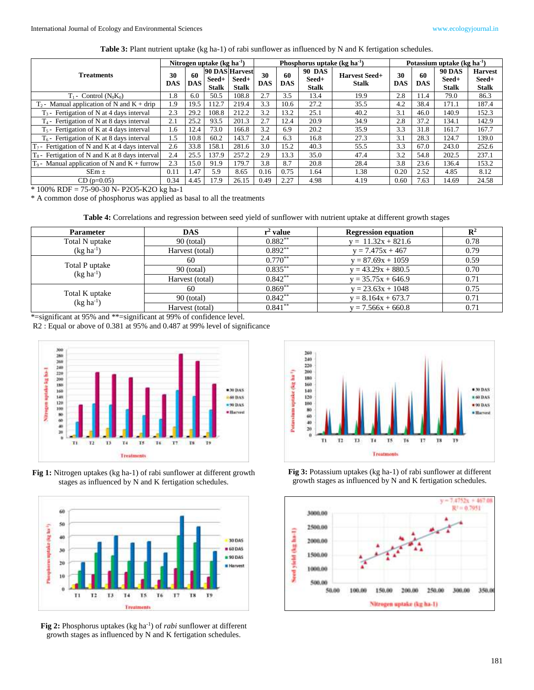**Table 3:** Plant nutrient uptake (kg ha-1) of rabi sunflower as influenced by N and K fertigation schedules.

|                                                   | Nitrogen uptake ( $kg$ ha <sup>-1</sup> ) |                  |                       |                                         | Phosphorus uptake $(kg ha^{-1})$ |                  |                                        |                                      |           | Potassium uptake ( $kg \, ha^{-1}$ ) |                                        |                                         |  |  |
|---------------------------------------------------|-------------------------------------------|------------------|-----------------------|-----------------------------------------|----------------------------------|------------------|----------------------------------------|--------------------------------------|-----------|--------------------------------------|----------------------------------------|-----------------------------------------|--|--|
| <b>Treatments</b>                                 |                                           | 60<br><b>DAS</b> | Seed+<br><b>Stalk</b> | 90 DAS Harvest<br>Seed+<br><b>Stalk</b> | 30<br><b>DAS</b>                 | 60<br><b>DAS</b> | <b>90 DAS</b><br>Seed+<br><b>Stalk</b> | <b>Harvest Seed+</b><br><b>Stalk</b> | 30<br>DAS | 60<br><b>DAS</b>                     | <b>90 DAS</b><br>Seed+<br><b>Stalk</b> | <b>Harvest</b><br>Seed+<br><b>Stalk</b> |  |  |
| $T_1$ - Control ( $N_0K_0$ )                      | 1.8                                       | 6.0              | 50.5                  | 108.8                                   | 2.7                              | 3.5              | 13.4                                   | 19.9                                 | 2.8       | 11.4                                 | 79.0                                   | 86.3                                    |  |  |
| $T_2$ - Manual application of N and K + drip      | 1.9                                       | 19.5             | 112.7                 | 219.4                                   | 3.3                              | 10.6             | 27.2                                   | 35.5                                 | 4.2       | 38.4                                 | 171.1                                  | 187.4                                   |  |  |
| $T_3$ - Fertigation of N at 4 days interval       | 2.3                                       | 29.2             | 108.8                 | 212.2                                   | 3.2                              | 13.2             | 25.1                                   | 40.2                                 | 3.1       | 46.0                                 | 140.9                                  | 152.3                                   |  |  |
| $T_4$ - Fertigation of N at 8 days interval       | 2.1                                       | 25.2             | 93.5                  | 201.3                                   | 2.7                              | 12.4             | 20.9                                   | 34.9                                 | 2.8       | 37.2                                 | 134.1                                  | 142.9                                   |  |  |
| $T_5$ - Fertigation of K at 4 days interval       | 1.6                                       | 12.4             | 73.0                  | 166.8                                   | 3.2                              | 6.9              | 20.2                                   | 35.9                                 | 3.3       | 31.8                                 | 161.7                                  | 167.7                                   |  |  |
| $T_6$ - Fertigation of K at 8 days interval       | 1.5                                       | 10.8             | 60.2                  | 143.7                                   | 2.4                              | 6.3              | 16.8                                   | 27.3                                 | 3.1       | 28.3                                 | 124.7                                  | 139.0                                   |  |  |
| $T_7$ - Fertigation of N and K at 4 days interval | 2.6                                       | 33.8             | 158.1                 | 281.6                                   | 3.0                              | 15.2             | 40.3                                   | 55.5                                 | 3.3       | 67.0                                 | 243.0                                  | 252.6                                   |  |  |
| $T_8$ - Fertigation of N and K at 8 days interval | 2.4                                       | 25.5             | 137.9                 | 257.2                                   | 2.9                              | 13.3             | 35.0                                   | 47.4                                 | 3.2       | 54.8                                 | 202.5                                  | 237.1                                   |  |  |
| $T_9$ - Manual application of N and K + furrow    | 2.3                                       | 15.0             | 91.9                  | 179.7                                   | 3.8                              | 8.7              | 20.8                                   | 28.4                                 | 3.8       | 23.6                                 | 136.4                                  | 153.2                                   |  |  |
| $SEm \pm$                                         | 0.11                                      | 1.47             | 5.9                   | 8.65                                    | 0.16                             | 0.75             | 1.64                                   | 1.38                                 | 0.20      | 2.52                                 | 4.85                                   | 8.12                                    |  |  |
| $CD$ (p=0.05)                                     | 0.34                                      | 4.45             | 17.9                  | 26.15                                   | 0.49                             | 2.27             | 4.98                                   | 4.19                                 | 0.60      | 7.63                                 | 14.69                                  | 24.58                                   |  |  |

\* 100% RDF = 75-90-30 N- P2O5-K2O kg ha-1

\* A common dose of phosphorus was applied as basal to all the treatments

**Table 4:** Correlations and regression between seed yield of sunflower with nutrient uptake at different growth stages

| <b>Parameter</b>                 | <b>DAS</b>      | $r^2$ value | <b>Regression equation</b> | $\mathbf{R}^2$ |
|----------------------------------|-----------------|-------------|----------------------------|----------------|
| Total N uptake                   | $90$ (total)    | $0.882**$   | $y = 11.32x + 821.6$       | 0.78           |
| $(kg ha-1)$                      | Harvest (total) | $0.892**$   | $y = 7.475x + 467$         | 0.79           |
| Total P uptake<br>$(kg ha^{-1})$ | 60              | $0.770**$   | $y = 87.69x + 1059$        | 0.59           |
|                                  | $90$ (total)    | $0.835***$  | $y = 43.29x + 880.5$       | 0.70           |
|                                  | Harvest (total) | $0.842**$   | $y = 35.75x + 646.9$       | 0.71           |
| Total K uptake<br>$(kg ha^{-1})$ | 60              | $0.869**$   | $y = 23.63x + 1048$        | 0.75           |
|                                  | $90$ (total)    | $0.842**$   | $y = 8.164x + 673.7$       | 0.71           |
|                                  | Harvest (total) | $0.841***$  | $y = 7.566x + 660.8$       | 0.71           |

\*=significant at 95% and \*\*=significant at 99% of confidence level.

R2 : Equal or above of 0.381 at 95% and 0.487 at 99% level of significance



**Fig 1:** Nitrogen uptakes (kg ha-1) of rabi sunflower at different growth stages as influenced by N and K fertigation schedules.



Fig 2: Phosphorus uptakes (kg ha<sup>-1</sup>) of *rabi* sunflower at different growth stages as influenced by N and K fertigation schedules.



**Fig 3:** Potassium uptakes (kg ha-1) of rabi sunflower at different growth stages as influenced by N and K fertigation schedules.